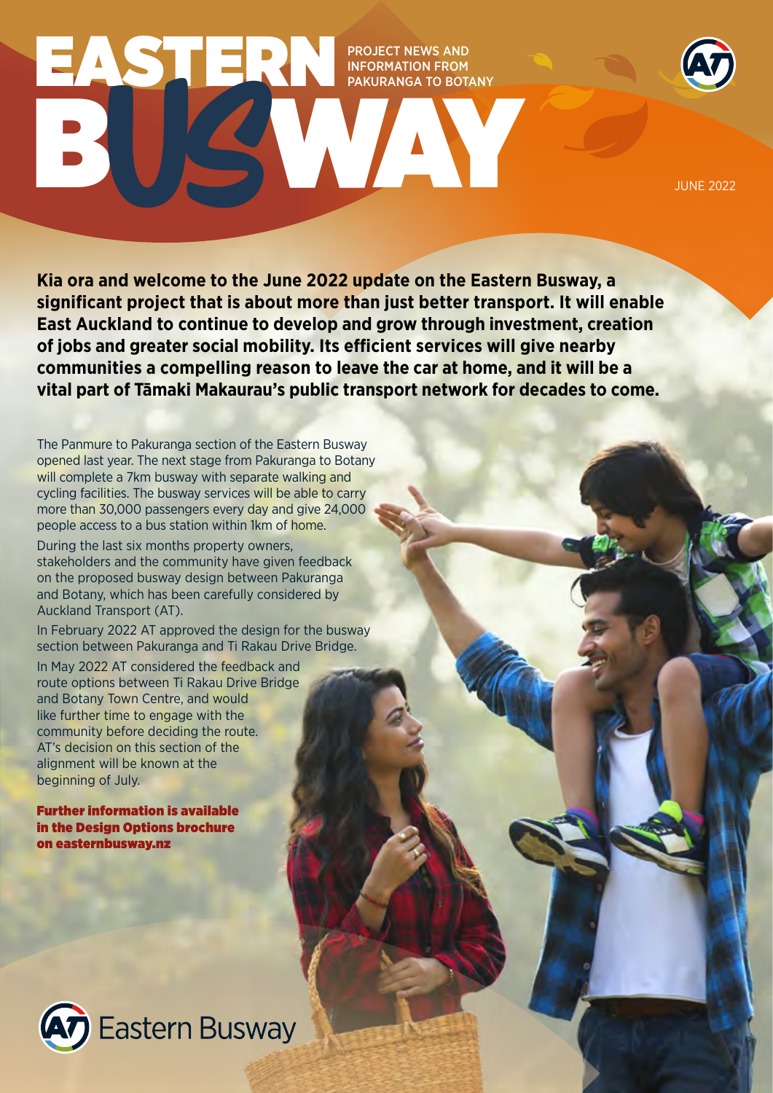# EASTERN PROJECT NEWS AND<br>PAKURANGA TO BOTANY<br>BULGARY PAKURANGA TO BOTANY<br>JUNE 2022 PROJECT NEWS AND INFORMATION FROM PAKURANGA TO BOTANY



**Kia ora and welcome to the June 2022 update on the Eastern Busway, a significant project that is about more than just better transport. It will enable East Auckland to continue to develop and grow through investment, creation of jobs and greater social mobility. Its efficient services will give nearby communities a compelling reason to leave the car at home, and it will be a vital part of Tāmaki Makaurau's public transport network for decades to come.**

B J G WAY

The Panmure to Pakuranga section of the Eastern Busway opened last year. The next stage from Pakuranga to Botany will complete a 7km busway with separate walking and cycling facilities. The busway services will be able to carry more than 30,000 passengers every day and give 24,000 people access to a bus station within 1km of home.

During the last six months property owners, stakeholders and the community have given feedback on the proposed busway design between Pakuranga and Botany, which has been carefully considered by Auckland Transport (AT).

In February 2022 AT approved the design for the busway section between Pakuranga and Ti Rakau Drive Bridge.

In May 2022 AT considered the feedback and route options between Ti Rakau Drive Bridge and Botany Town Centre, and would like further time to engage with the community before deciding the route. AT's decision on this section of the alignment will be known at the beginning of July.

Further information is available in the Design Options brochure on [easternbusway.nz](http://easternbusway.nz)



**Eastern Busway**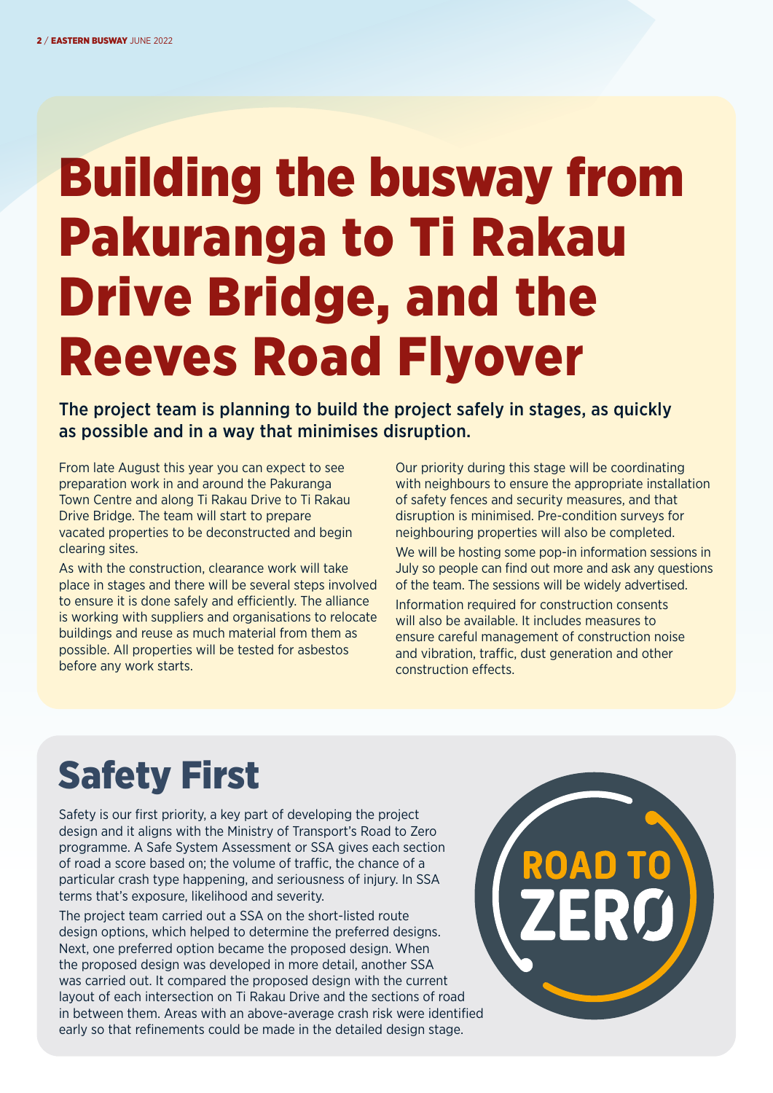# Building the busway from Pakuranga to Ti Rakau Drive Bridge, and the Reeves Road Flyove**r**

The project team is planning to build the project safely in stages, as quickly as possible and in a way that minimises disruption.

From late August this year you can expect to see preparation work in and around the Pakuranga Town Centre and along Ti Rakau Drive to Ti Rakau Drive Bridge. The team will start to prepare vacated properties to be deconstructed and begin clearing sites.

As with the construction, clearance work will take place in stages and there will be several steps involved to ensure it is done safely and efficiently. The alliance is working with suppliers and organisations to relocate buildings and reuse as much material from them as possible. All properties will be tested for asbestos before any work starts.

Our priority during this stage will be coordinating with neighbours to ensure the appropriate installation of safety fences and security measures, and that disruption is minimised. Pre-condition surveys for neighbouring properties will also be completed. We will be hosting some pop-in information sessions in July so people can find out more and ask any questions of the team. The sessions will be widely advertised. Information required for construction consents will also be available. It includes measures to ensure careful management of construction noise and vibration, traffic, dust generation and other construction effects.

### Safety First

Safety is our first priority, a key part of developing the project design and it aligns with the Ministry of Transport's Road to Zero programme. A Safe System Assessment or SSA gives each section of road a score based on; the volume of traffic, the chance of a particular crash type happening, and seriousness of injury. In SSA terms that's exposure, likelihood and severity.

The project team carried out a SSA on the short-listed route design options, which helped to determine the preferred designs. Next, one preferred option became the proposed design. When the proposed design was developed in more detail, another SSA was carried out. It compared the proposed design with the current layout of each intersection on Ti Rakau Drive and the sections of road in between them. Areas with an above-average crash risk were identified early so that refinements could be made in the detailed design stage.

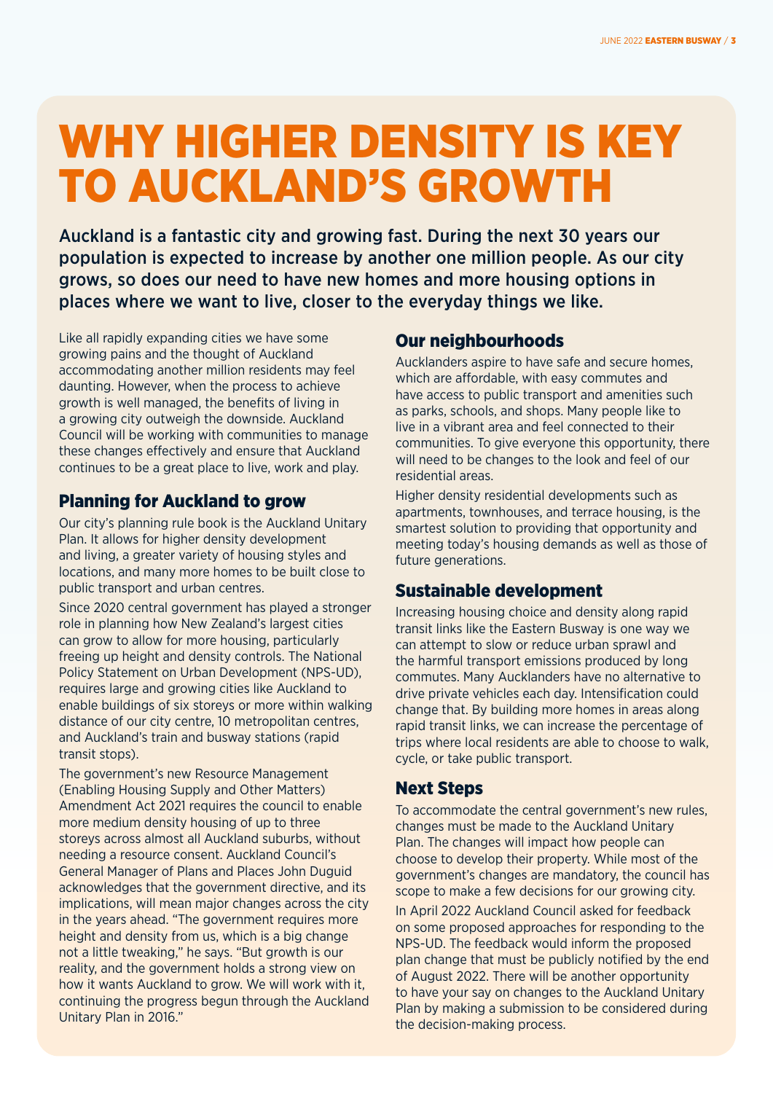## WHY HIGHER DENSITY IS KEY TO AUCKLAND'S GROWTH

Auckland is a fantastic city and growing fast. During the next 30 years our population is expected to increase by another one million people. As our city grows, so does our need to have new homes and more housing options in places where we want to live, closer to the everyday things we like.

Like all rapidly expanding cities we have some growing pains and the thought of Auckland accommodating another million residents may feel daunting. However, when the process to achieve growth is well managed, the benefits of living in a growing city outweigh the downside. Auckland Council will be working with communities to manage these changes effectively and ensure that Auckland continues to be a great place to live, work and play.

#### Planning for Auckland to grow

Our city's planning rule book is the Auckland Unitary Plan. It allows for higher density development and living, a greater variety of housing styles and locations, and many more homes to be built close to public transport and urban centres.

Since 2020 central government has played a stronger role in planning how New Zealand's largest cities can grow to allow for more housing, particularly freeing up height and density controls. The National Policy Statement on Urban Development (NPS-UD), requires large and growing cities like Auckland to enable buildings of six storeys or more within walking distance of our city centre, 10 metropolitan centres, and Auckland's train and busway stations (rapid transit stops).

The government's new Resource Management (Enabling Housing Supply and Other Matters) Amendment Act 2021 requires the council to enable more medium density housing of up to three storeys across almost all Auckland suburbs, without needing a resource consent. Auckland Council's General Manager of Plans and Places John Duguid acknowledges that the government directive, and its implications, will mean major changes across the city in the years ahead. "The government requires more height and density from us, which is a big change not a little tweaking," he says. "But growth is our reality, and the government holds a strong view on how it wants Auckland to grow. We will work with it, continuing the progress begun through the Auckland Unitary Plan in 2016."

#### Our neighbourhoods

Aucklanders aspire to have safe and secure homes, which are affordable, with easy commutes and have access to public transport and amenities such as parks, schools, and shops. Many people like to live in a vibrant area and feel connected to their communities. To give everyone this opportunity, there will need to be changes to the look and feel of our residential areas.

Higher density residential developments such as apartments, townhouses, and terrace housing, is the smartest solution to providing that opportunity and meeting today's housing demands as well as those of future generations.

#### Sustainable development

Increasing housing choice and density along rapid transit links like the Eastern Busway is one way we can attempt to slow or reduce urban sprawl and the harmful transport emissions produced by long commutes. Many Aucklanders have no alternative to drive private vehicles each day. Intensification could change that. By building more homes in areas along rapid transit links, we can increase the percentage of trips where local residents are able to choose to walk, cycle, or take public transport.

#### Next Steps

To accommodate the central government's new rules, changes must be made to the Auckland Unitary Plan. The changes will impact how people can choose to develop their property. While most of the government's changes are mandatory, the council has scope to make a few decisions for our growing city. In April 2022 Auckland Council asked for feedback on some proposed approaches for responding to the NPS-UD. The feedback would inform the proposed plan change that must be publicly notified by the end of August 2022. There will be another opportunity to have your say on changes to the Auckland Unitary Plan by making a submission to be considered during the decision-making process.